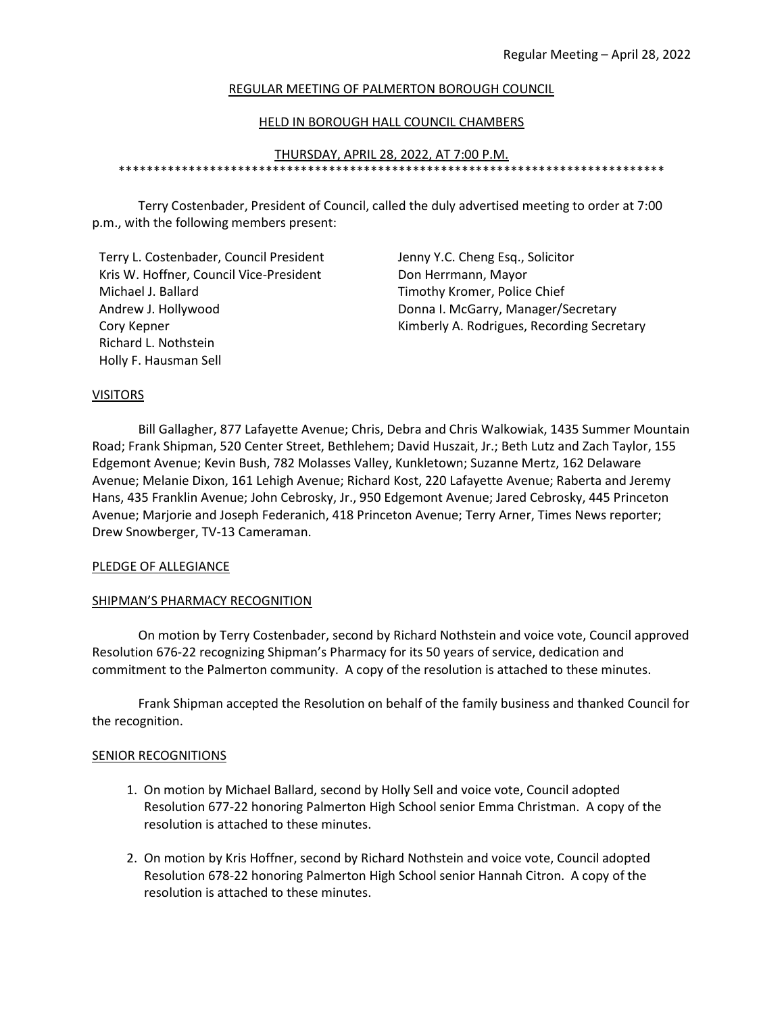### REGULAR MEETING OF PALMERTON BOROUGH COUNCIL

### HELD IN BOROUGH HALL COUNCIL CHAMBERS

#### THURSDAY, APRIL 28, 2022, AT 7:00 P.M. \*\*\*\*\*\*\*\*\*\*\*\*\*\*\*\*\*\*\*\*\*\*\*\*\*\*\*\*\*\*\*\*\*\*\*\*\*\*\*\*\*\*\*\*\*\*\*\*\*\*\*\*\*\*\*\*\*\*\*\*\*\*\*\*\*\*\*\*\*\*\*\*\*\*\*\*\*\*

 Terry Costenbader, President of Council, called the duly advertised meeting to order at 7:00 p.m., with the following members present:

Terry L. Costenbader, Council President Jenny Y.C. Cheng Esq., Solicitor Kris W. Hoffner, Council Vice-President Don Herrmann, Mayor Michael J. Ballard Timothy Kromer, Police Chief Andrew J. Hollywood **Donna I. McGarry, Manager/Secretary** Richard L. Nothstein Holly F. Hausman Sell

Cory Kepner **Community A. Rodrigues, Recording Secretary** A. Rodrigues, Recording Secretary

#### **VISITORS**

 Bill Gallagher, 877 Lafayette Avenue; Chris, Debra and Chris Walkowiak, 1435 Summer Mountain Road; Frank Shipman, 520 Center Street, Bethlehem; David Huszait, Jr.; Beth Lutz and Zach Taylor, 155 Edgemont Avenue; Kevin Bush, 782 Molasses Valley, Kunkletown; Suzanne Mertz, 162 Delaware Avenue; Melanie Dixon, 161 Lehigh Avenue; Richard Kost, 220 Lafayette Avenue; Raberta and Jeremy Hans, 435 Franklin Avenue; John Cebrosky, Jr., 950 Edgemont Avenue; Jared Cebrosky, 445 Princeton Avenue; Marjorie and Joseph Federanich, 418 Princeton Avenue; Terry Arner, Times News reporter; Drew Snowberger, TV-13 Cameraman.

#### PLEDGE OF ALLEGIANCE

### SHIPMAN'S PHARMACY RECOGNITION

 On motion by Terry Costenbader, second by Richard Nothstein and voice vote, Council approved Resolution 676-22 recognizing Shipman's Pharmacy for its 50 years of service, dedication and commitment to the Palmerton community. A copy of the resolution is attached to these minutes.

 Frank Shipman accepted the Resolution on behalf of the family business and thanked Council for the recognition.

#### SENIOR RECOGNITIONS

- 1. On motion by Michael Ballard, second by Holly Sell and voice vote, Council adopted Resolution 677-22 honoring Palmerton High School senior Emma Christman. A copy of the resolution is attached to these minutes.
- 2. On motion by Kris Hoffner, second by Richard Nothstein and voice vote, Council adopted Resolution 678-22 honoring Palmerton High School senior Hannah Citron. A copy of the resolution is attached to these minutes.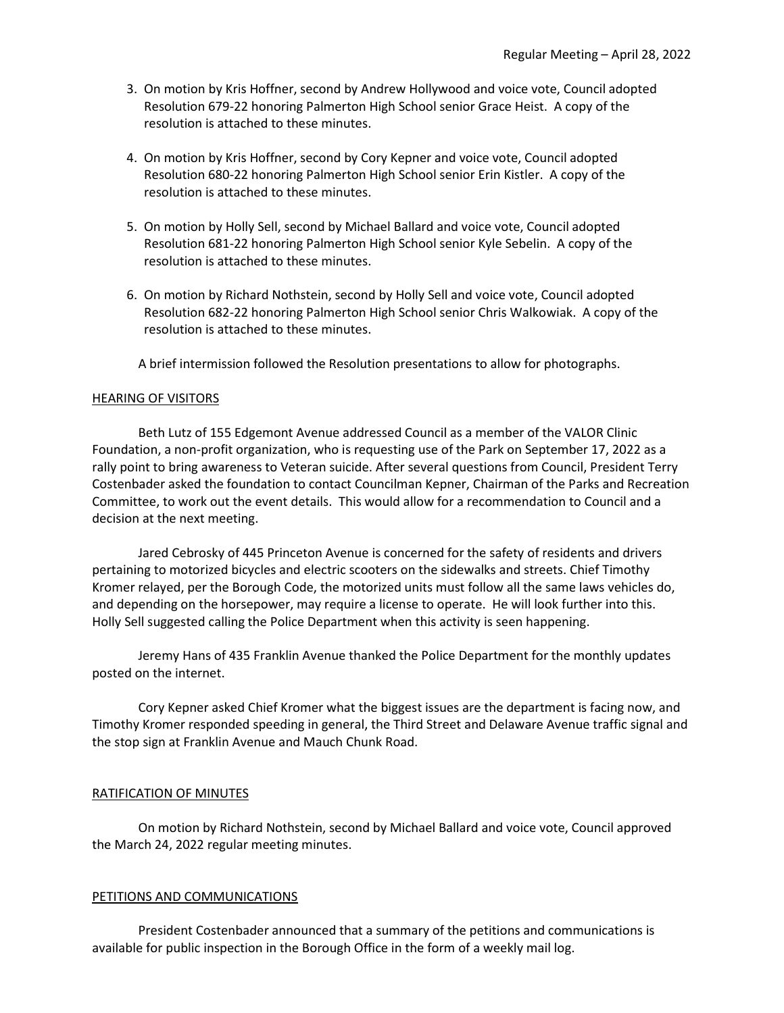- 3. On motion by Kris Hoffner, second by Andrew Hollywood and voice vote, Council adopted Resolution 679-22 honoring Palmerton High School senior Grace Heist. A copy of the resolution is attached to these minutes.
- 4. On motion by Kris Hoffner, second by Cory Kepner and voice vote, Council adopted Resolution 680-22 honoring Palmerton High School senior Erin Kistler. A copy of the resolution is attached to these minutes.
- 5. On motion by Holly Sell, second by Michael Ballard and voice vote, Council adopted Resolution 681-22 honoring Palmerton High School senior Kyle Sebelin. A copy of the resolution is attached to these minutes.
- 6. On motion by Richard Nothstein, second by Holly Sell and voice vote, Council adopted Resolution 682-22 honoring Palmerton High School senior Chris Walkowiak. A copy of the resolution is attached to these minutes.

A brief intermission followed the Resolution presentations to allow for photographs.

### HEARING OF VISITORS

 Beth Lutz of 155 Edgemont Avenue addressed Council as a member of the VALOR Clinic Foundation, a non-profit organization, who is requesting use of the Park on September 17, 2022 as a rally point to bring awareness to Veteran suicide. After several questions from Council, President Terry Costenbader asked the foundation to contact Councilman Kepner, Chairman of the Parks and Recreation Committee, to work out the event details. This would allow for a recommendation to Council and a decision at the next meeting.

 Jared Cebrosky of 445 Princeton Avenue is concerned for the safety of residents and drivers pertaining to motorized bicycles and electric scooters on the sidewalks and streets. Chief Timothy Kromer relayed, per the Borough Code, the motorized units must follow all the same laws vehicles do, and depending on the horsepower, may require a license to operate. He will look further into this. Holly Sell suggested calling the Police Department when this activity is seen happening.

 Jeremy Hans of 435 Franklin Avenue thanked the Police Department for the monthly updates posted on the internet.

 Cory Kepner asked Chief Kromer what the biggest issues are the department is facing now, and Timothy Kromer responded speeding in general, the Third Street and Delaware Avenue traffic signal and the stop sign at Franklin Avenue and Mauch Chunk Road.

### RATIFICATION OF MINUTES

 On motion by Richard Nothstein, second by Michael Ballard and voice vote, Council approved the March 24, 2022 regular meeting minutes.

### PETITIONS AND COMMUNICATIONS

 President Costenbader announced that a summary of the petitions and communications is available for public inspection in the Borough Office in the form of a weekly mail log.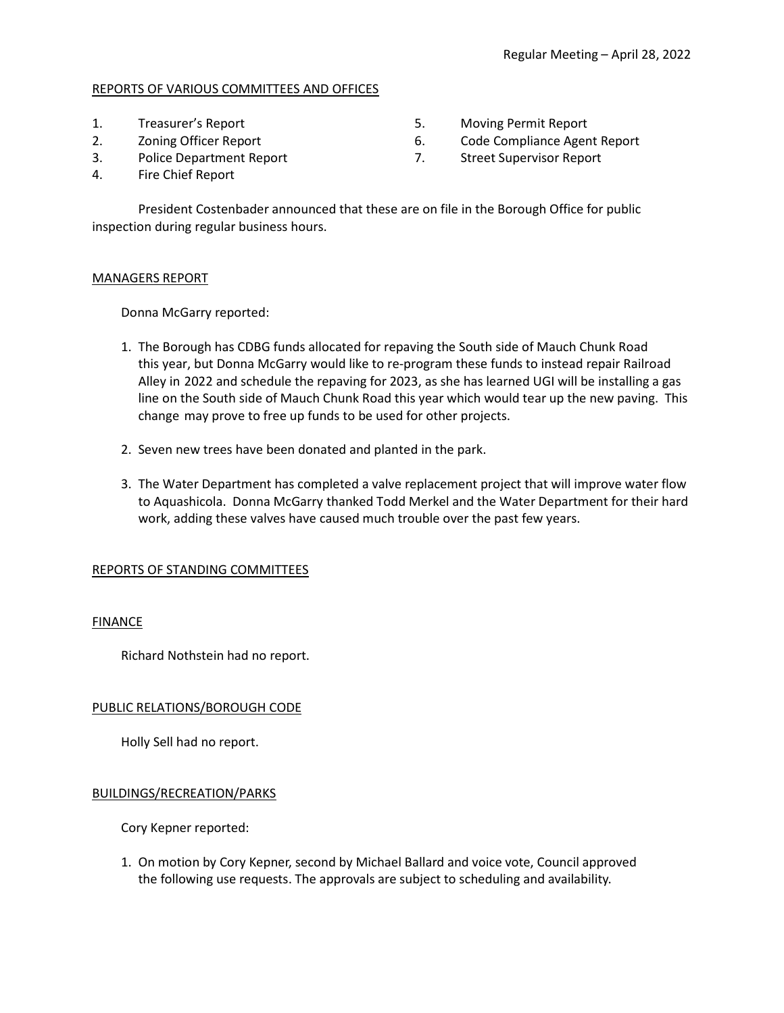# REPORTS OF VARIOUS COMMITTEES AND OFFICES

- 
- 
- 
- 1. Treasurer's Report 5. Moving Permit Report
- 2. Zoning Officer Report 6. Code Compliance Agent Report
- 3. Police Department Report 7. Street Supervisor Report
- 4. Fire Chief Report

 President Costenbader announced that these are on file in the Borough Office for public inspection during regular business hours.

# MANAGERS REPORT

Donna McGarry reported:

- 1. The Borough has CDBG funds allocated for repaving the South side of Mauch Chunk Road this year, but Donna McGarry would like to re-program these funds to instead repair Railroad Alley in 2022 and schedule the repaving for 2023, as she has learned UGI will be installing a gas line on the South side of Mauch Chunk Road this year which would tear up the new paving. This change may prove to free up funds to be used for other projects.
- 2. Seven new trees have been donated and planted in the park.
- 3. The Water Department has completed a valve replacement project that will improve water flow to Aquashicola. Donna McGarry thanked Todd Merkel and the Water Department for their hard work, adding these valves have caused much trouble over the past few years.

# REPORTS OF STANDING COMMITTEES

# FINANCE

Richard Nothstein had no report.

# PUBLIC RELATIONS/BOROUGH CODE

Holly Sell had no report.

# BUILDINGS/RECREATION/PARKS

Cory Kepner reported:

 1. On motion by Cory Kepner, second by Michael Ballard and voice vote, Council approved the following use requests. The approvals are subject to scheduling and availability.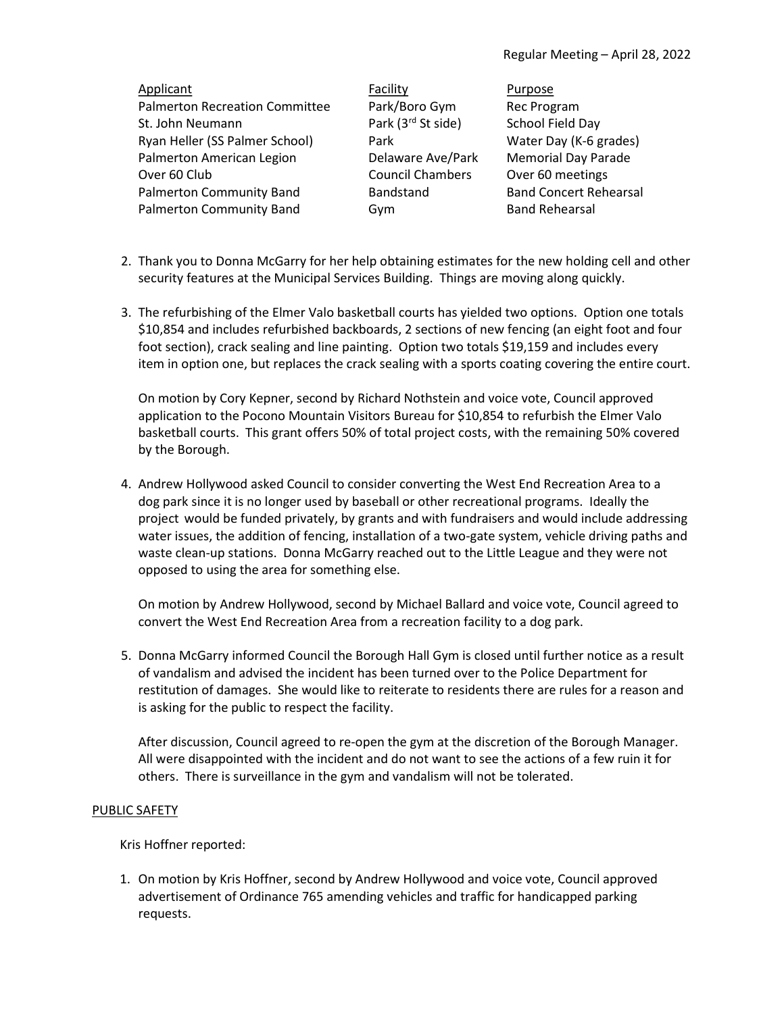| Applicant                             | Facility                       | Purpose                       |
|---------------------------------------|--------------------------------|-------------------------------|
| <b>Palmerton Recreation Committee</b> | Park/Boro Gym                  | <b>Rec Program</b>            |
| St. John Neumann                      | Park (3 <sup>rd</sup> St side) | School Field Day              |
| Ryan Heller (SS Palmer School)        | Park                           | Water Day (K-6 grades)        |
| Palmerton American Legion             | Delaware Ave/Park              | <b>Memorial Day Parade</b>    |
| Over 60 Club                          | <b>Council Chambers</b>        | Over 60 meetings              |
| Palmerton Community Band              | Bandstand                      | <b>Band Concert Rehearsal</b> |
| Palmerton Community Band              | Gym                            | <b>Band Rehearsal</b>         |

- 2. Thank you to Donna McGarry for her help obtaining estimates for the new holding cell and other security features at the Municipal Services Building. Things are moving along quickly.
- 3. The refurbishing of the Elmer Valo basketball courts has yielded two options. Option one totals \$10,854 and includes refurbished backboards, 2 sections of new fencing (an eight foot and four foot section), crack sealing and line painting. Option two totals \$19,159 and includes every item in option one, but replaces the crack sealing with a sports coating covering the entire court.

 On motion by Cory Kepner, second by Richard Nothstein and voice vote, Council approved application to the Pocono Mountain Visitors Bureau for \$10,854 to refurbish the Elmer Valo basketball courts. This grant offers 50% of total project costs, with the remaining 50% covered by the Borough.

4. Andrew Hollywood asked Council to consider converting the West End Recreation Area to a dog park since it is no longer used by baseball or other recreational programs. Ideally the project would be funded privately, by grants and with fundraisers and would include addressing water issues, the addition of fencing, installation of a two-gate system, vehicle driving paths and waste clean-up stations. Donna McGarry reached out to the Little League and they were not opposed to using the area for something else.

 On motion by Andrew Hollywood, second by Michael Ballard and voice vote, Council agreed to convert the West End Recreation Area from a recreation facility to a dog park.

5. Donna McGarry informed Council the Borough Hall Gym is closed until further notice as a result of vandalism and advised the incident has been turned over to the Police Department for restitution of damages. She would like to reiterate to residents there are rules for a reason and is asking for the public to respect the facility.

 After discussion, Council agreed to re-open the gym at the discretion of the Borough Manager. All were disappointed with the incident and do not want to see the actions of a few ruin it for others. There is surveillance in the gym and vandalism will not be tolerated.

# PUBLIC SAFETY

Kris Hoffner reported:

 1. On motion by Kris Hoffner, second by Andrew Hollywood and voice vote, Council approved advertisement of Ordinance 765 amending vehicles and traffic for handicapped parking requests.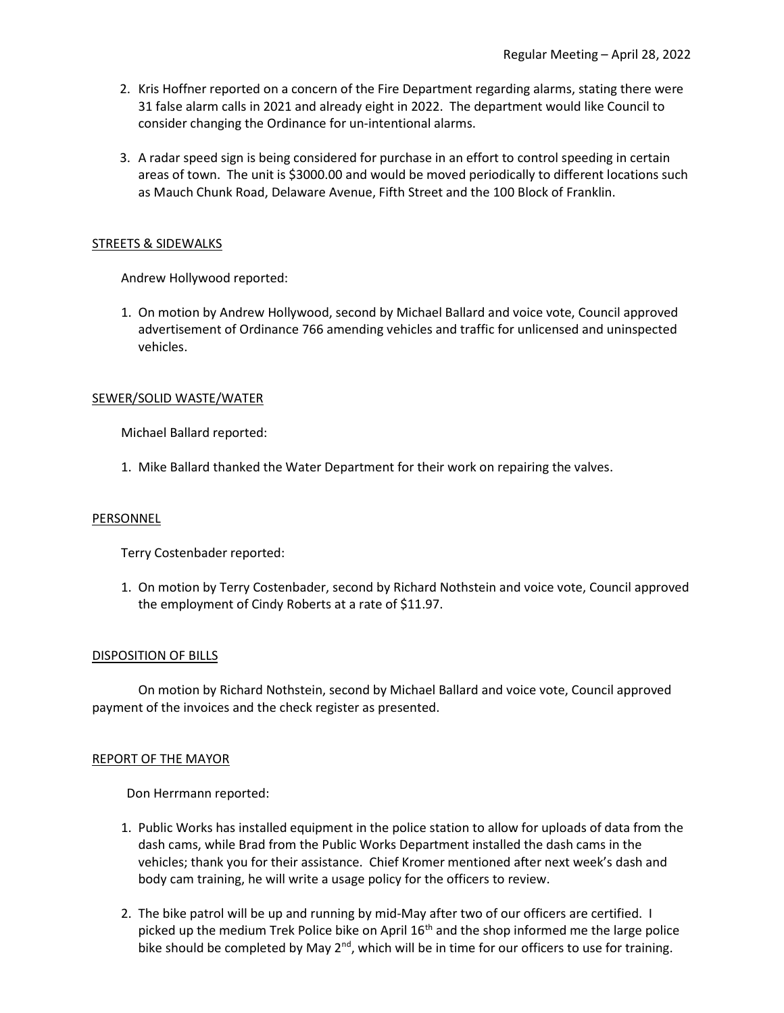- 2. Kris Hoffner reported on a concern of the Fire Department regarding alarms, stating there were 31 false alarm calls in 2021 and already eight in 2022. The department would like Council to consider changing the Ordinance for un-intentional alarms.
- 3. A radar speed sign is being considered for purchase in an effort to control speeding in certain areas of town. The unit is \$3000.00 and would be moved periodically to different locations such as Mauch Chunk Road, Delaware Avenue, Fifth Street and the 100 Block of Franklin.

### STREETS & SIDEWALKS

Andrew Hollywood reported:

 1. On motion by Andrew Hollywood, second by Michael Ballard and voice vote, Council approved advertisement of Ordinance 766 amending vehicles and traffic for unlicensed and uninspected vehicles.

### SEWER/SOLID WASTE/WATER

Michael Ballard reported:

1. Mike Ballard thanked the Water Department for their work on repairing the valves.

### **PERSONNEL**

Terry Costenbader reported:

 1. On motion by Terry Costenbader, second by Richard Nothstein and voice vote, Council approved the employment of Cindy Roberts at a rate of \$11.97.

#### DISPOSITION OF BILLS

 On motion by Richard Nothstein, second by Michael Ballard and voice vote, Council approved payment of the invoices and the check register as presented.

#### REPORT OF THE MAYOR

Don Herrmann reported:

- 1. Public Works has installed equipment in the police station to allow for uploads of data from the dash cams, while Brad from the Public Works Department installed the dash cams in the vehicles; thank you for their assistance. Chief Kromer mentioned after next week's dash and body cam training, he will write a usage policy for the officers to review.
- 2. The bike patrol will be up and running by mid-May after two of our officers are certified. I picked up the medium Trek Police bike on April  $16<sup>th</sup>$  and the shop informed me the large police bike should be completed by May  $2^{nd}$ , which will be in time for our officers to use for training.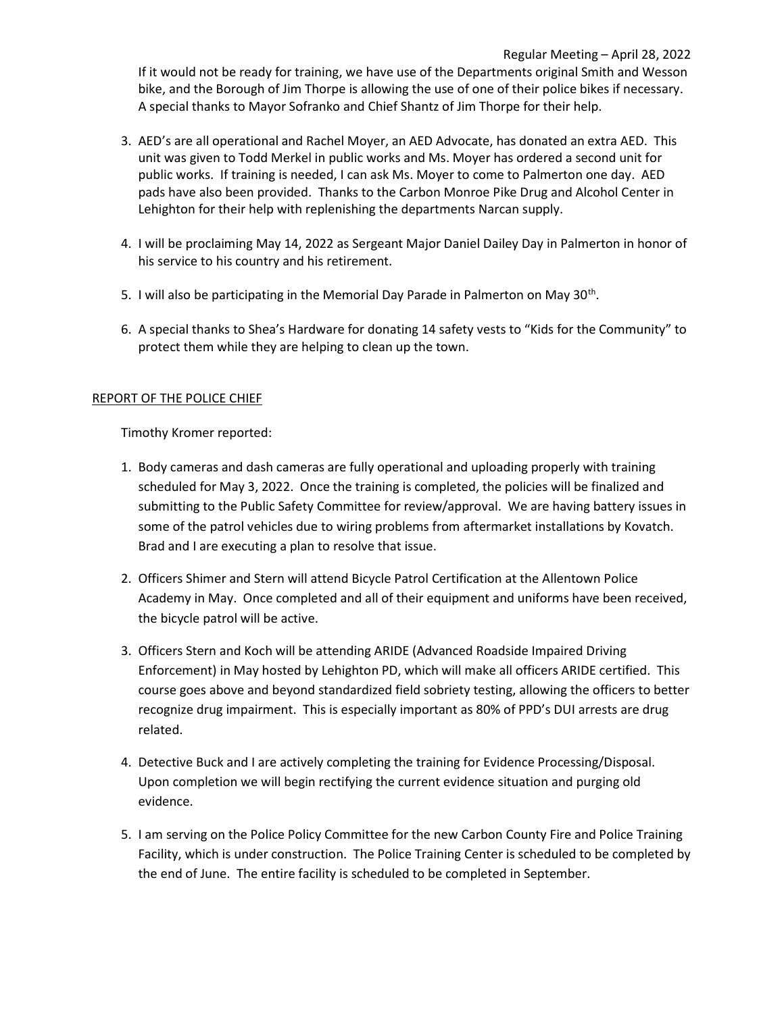- 3. AED's are all operational and Rachel Moyer, an AED Advocate, has donated an extra AED. This unit was given to Todd Merkel in public works and Ms. Moyer has ordered a second unit for public works. If training is needed, I can ask Ms. Moyer to come to Palmerton one day. AED pads have also been provided. Thanks to the Carbon Monroe Pike Drug and Alcohol Center in Lehighton for their help with replenishing the departments Narcan supply.
- 4. I will be proclaiming May 14, 2022 as Sergeant Major Daniel Dailey Day in Palmerton in honor of his service to his country and his retirement.
- 5. I will also be participating in the Memorial Day Parade in Palmerton on May 30<sup>th</sup>.
	- 6. A special thanks to Shea's Hardware for donating 14 safety vests to "Kids for the Community" to protect them while they are helping to clean up the town.

# REPORT OF THE POLICE CHIEF

Timothy Kromer reported:

- 1. Body cameras and dash cameras are fully operational and uploading properly with training scheduled for May 3, 2022. Once the training is completed, the policies will be finalized and submitting to the Public Safety Committee for review/approval. We are having battery issues in some of the patrol vehicles due to wiring problems from aftermarket installations by Kovatch. Brad and I are executing a plan to resolve that issue.
- 2. Officers Shimer and Stern will attend Bicycle Patrol Certification at the Allentown Police Academy in May. Once completed and all of their equipment and uniforms have been received, the bicycle patrol will be active.
- 3. Officers Stern and Koch will be attending ARIDE (Advanced Roadside Impaired Driving Enforcement) in May hosted by Lehighton PD, which will make all officers ARIDE certified. This course goes above and beyond standardized field sobriety testing, allowing the officers to better recognize drug impairment. This is especially important as 80% of PPD's DUI arrests are drug related.
- 4. Detective Buck and I are actively completing the training for Evidence Processing/Disposal. Upon completion we will begin rectifying the current evidence situation and purging old evidence.
- 5. I am serving on the Police Policy Committee for the new Carbon County Fire and Police Training Facility, which is under construction. The Police Training Center is scheduled to be completed by the end of June. The entire facility is scheduled to be completed in September.